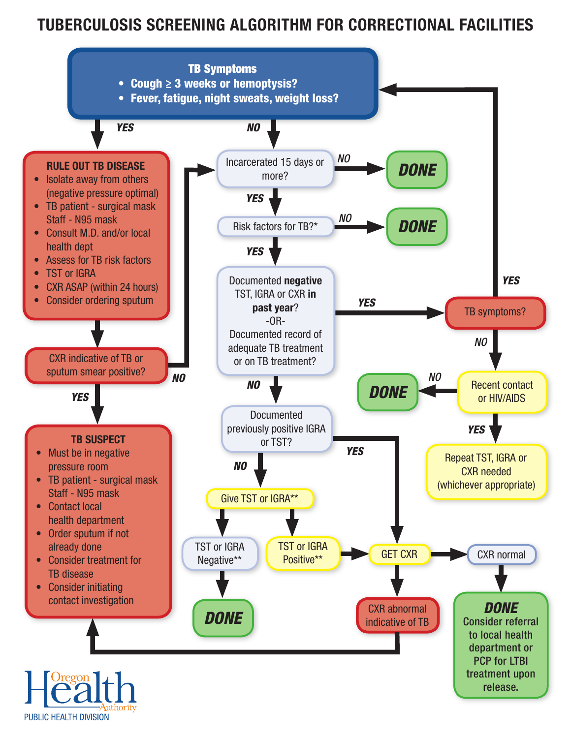# TUBERCULOSIS SCREENING ALGORITHM FOR CORRECTIONAL FACILITIES



PUBLIC HEALTH DIVISION